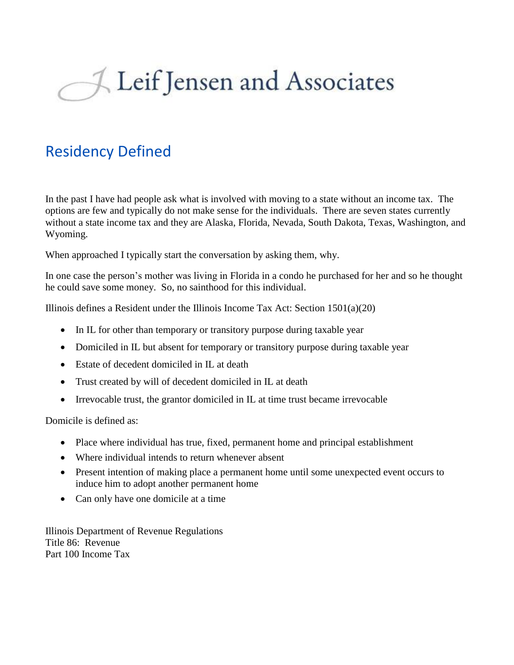## Leif Jensen and Associates

## Residency Defined

In the past I have had people ask what is involved with moving to a state without an income tax. The options are few and typically do not make sense for the individuals. There are seven states currently without a state income tax and they are Alaska, Florida, Nevada, South Dakota, Texas, Washington, and Wyoming.

When approached I typically start the conversation by asking them, why.

In one case the person's mother was living in Florida in a condo he purchased for her and so he thought he could save some money. So, no sainthood for this individual.

Illinois defines a Resident under the Illinois Income Tax Act: Section 1501(a)(20)

- In IL for other than temporary or transitory purpose during taxable year
- Domiciled in IL but absent for temporary or transitory purpose during taxable year
- Estate of decedent domiciled in IL at death
- Trust created by will of decedent domiciled in IL at death
- Irrevocable trust, the grantor domiciled in IL at time trust became irrevocable

Domicile is defined as:

- Place where individual has true, fixed, permanent home and principal establishment
- Where individual intends to return whenever absent
- Present intention of making place a permanent home until some unexpected event occurs to induce him to adopt another permanent home
- Can only have one domicile at a time

Illinois Department of Revenue Regulations Title 86: Revenue Part 100 Income Tax